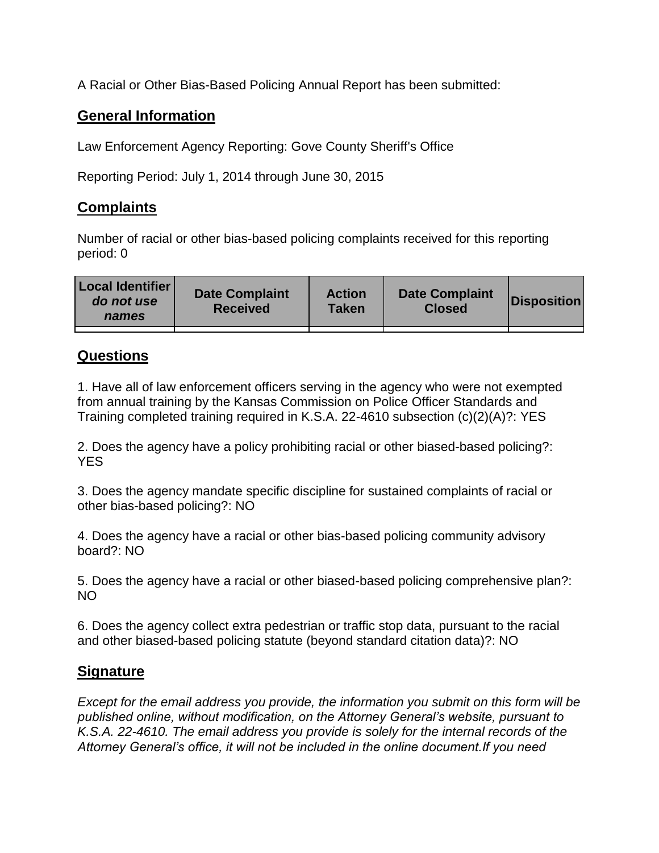A Racial or Other Bias-Based Policing Annual Report has been submitted:

## **General Information**

Law Enforcement Agency Reporting: Gove County Sheriff's Office

Reporting Period: July 1, 2014 through June 30, 2015

## **Complaints**

Number of racial or other bias-based policing complaints received for this reporting period: 0

| <b>Local Identifier</b><br>do not use<br>names | <b>Date Complaint</b><br><b>Received</b> | <b>Action</b><br><b>Taken</b> | <b>Date Complaint</b><br><b>Closed</b> | Disposition |
|------------------------------------------------|------------------------------------------|-------------------------------|----------------------------------------|-------------|
|                                                |                                          |                               |                                        |             |

## **Questions**

1. Have all of law enforcement officers serving in the agency who were not exempted from annual training by the Kansas Commission on Police Officer Standards and Training completed training required in K.S.A. 22-4610 subsection (c)(2)(A)?: YES

2. Does the agency have a policy prohibiting racial or other biased-based policing?: YES

3. Does the agency mandate specific discipline for sustained complaints of racial or other bias-based policing?: NO

4. Does the agency have a racial or other bias-based policing community advisory board?: NO

5. Does the agency have a racial or other biased-based policing comprehensive plan?: NO

6. Does the agency collect extra pedestrian or traffic stop data, pursuant to the racial and other biased-based policing statute (beyond standard citation data)?: NO

## **Signature**

*Except for the email address you provide, the information you submit on this form will be published online, without modification, on the Attorney General's website, pursuant to K.S.A. 22-4610. The email address you provide is solely for the internal records of the Attorney General's office, it will not be included in the online document.If you need*